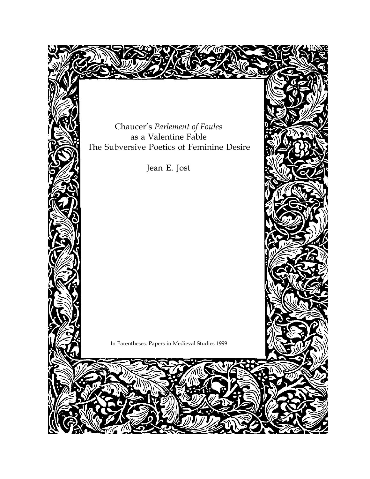Chaucer's *Parlement of Foules* as a Valentine Fable The Subversive Poetics of Feminine Desire

Jean E. Jost

In Parentheses: Papers in Medieval Studies 1999

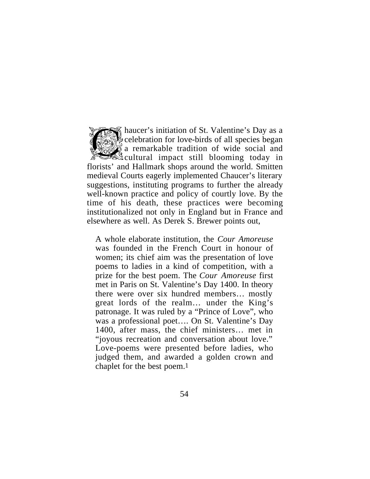haucer's initiation of St. Valentine's Day as a celebration for love-birds of all species began  $\delta$  a remarkable tradition of wide social and cultural impact still blooming today in florists' and Hallmark shops around the world. Smitten medieval Courts eagerly implemented Chaucer's literary suggestions, instituting programs to further the already well-known practice and policy of courtly love. By the time of his death, these practices were becoming institutionalized not only in England but in France and elsewhere as well. As Derek S. Brewer points out,

A whole elaborate institution, the *Cour Amoreuse* was founded in the French Court in honour of women; its chief aim was the presentation of love poems to ladies in a kind of competition, with a prize for the best poem. The *Cour Amoreuse* first met in Paris on St. Valentine's Day 1400. In theory there were over six hundred members… mostly great lords of the realm… under the King's patronage. It was ruled by a "Prince of Love", who was a professional poet…. On St. Valentine's Day 1400, after mass, the chief ministers… met in "joyous recreation and conversation about love." Love-poems were presented before ladies, who judged them, and awarded a golden crown and chaplet for the best poem.1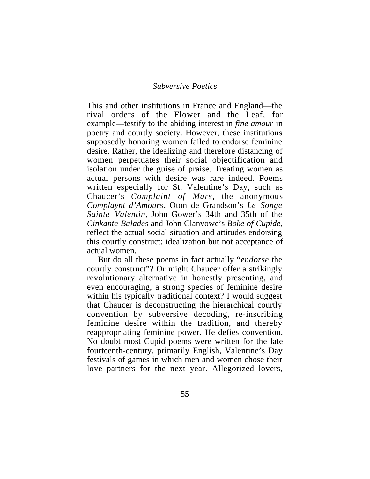This and other institutions in France and England—the rival orders of the Flower and the Leaf, for example—testify to the abiding interest in *fine amour* in poetry and courtly society. However, these institutions supposedly honoring women failed to endorse feminine desire. Rather, the idealizing and therefore distancing of women perpetuates their social objectification and isolation under the guise of praise. Treating women as actual persons with desire was rare indeed. Poems written especially for St. Valentine's Day, such as Chaucer's *Complaint of Mars*, the anonymous *Complaynt d'Amours*, Oton de Grandson's *Le Songe Sainte Valentin*, John Gower's 34th and 35th of the *Cinkante Balades* and John Clanvowe's *Boke of Cupide,* reflect the actual social situation and attitudes endorsing this courtly construct: idealization but not acceptance of actual women.

But do all these poems in fact actually "*endorse* the courtly construct"? Or might Chaucer offer a strikingly revolutionary alternative in honestly presenting, and even encouraging, a strong species of feminine desire within his typically traditional context? I would suggest that Chaucer is deconstructing the hierarchical courtly convention by subversive decoding, re-inscribing feminine desire within the tradition, and thereby reappropriating feminine power. He defies convention. No doubt most Cupid poems were written for the late fourteenth-century, primarily English, Valentine's Day festivals of games in which men and women chose their love partners for the next year. Allegorized lovers,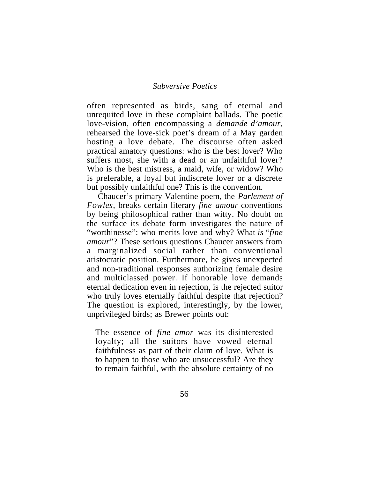often represented as birds, sang of eternal and unrequited love in these complaint ballads. The poetic love-vision, often encompassing a *demande d'amour,* rehearsed the love-sick poet's dream of a May garden hosting a love debate. The discourse often asked practical amatory questions: who is the best lover? Who suffers most, she with a dead or an unfaithful lover? Who is the best mistress, a maid, wife, or widow? Who is preferable, a loyal but indiscrete lover or a discrete but possibly unfaithful one? This is the convention.

Chaucer's primary Valentine poem, the *Parlement of Fowles,* breaks certain literary *fine amour* conventions by being philosophical rather than witty. No doubt on the surface its debate form investigates the nature of "worthinesse": who merits love and why? What *is* "*fine amour*"? These serious questions Chaucer answers from a marginalized social rather than conventional aristocratic position. Furthermore, he gives unexpected and non-traditional responses authorizing female desire and multiclassed power. If honorable love demands eternal dedication even in rejection, is the rejected suitor who truly loves eternally faithful despite that rejection? The question is explored, interestingly, by the lower, unprivileged birds; as Brewer points out:

The essence of *fine amor* was its disinterested loyalty; all the suitors have vowed eternal faithfulness as part of their claim of love. What is to happen to those who are unsuccessful? Are they to remain faithful, with the absolute certainty of no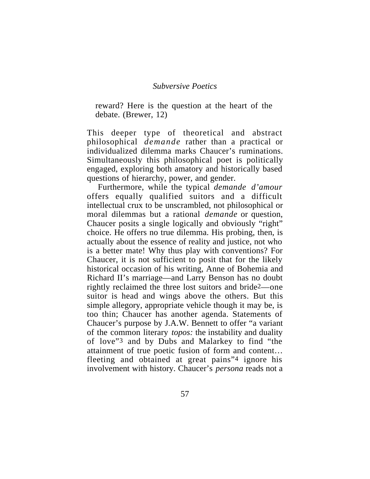reward? Here is the question at the heart of the debate. (Brewer, 12)

This deeper type of theoretical and abstract philosophical *demande* rather than a practical or individualized dilemma marks Chaucer's ruminations. Simultaneously this philosophical poet is politically engaged, exploring both amatory and historically based questions of hierarchy, power, and gender.

Furthermore, while the typical *demande d'amour* offers equally qualified suitors and a difficult intellectual crux to be unscrambled, not philosophical or moral dilemmas but a rational *demande* or question, Chaucer posits a single logically and obviously "right" choice. He offers no true dilemma. His probing, then, is actually about the essence of reality and justice, not who is a better mate! Why thus play with conventions? For Chaucer, it is not sufficient to posit that for the likely historical occasion of his writing, Anne of Bohemia and Richard II's marriage—and Larry Benson has no doubt rightly reclaimed the three lost suitors and bride2—one suitor is head and wings above the others. But this simple allegory, appropriate vehicle though it may be, is too thin; Chaucer has another agenda. Statements of Chaucer's purpose by J.A.W. Bennett to offer "a variant of the common literary *topos:* the instability and duality of love"3 and by Dubs and Malarkey to find "the attainment of true poetic fusion of form and content… fleeting and obtained at great pains"4 ignore his involvement with history. Chaucer's *persona* reads not a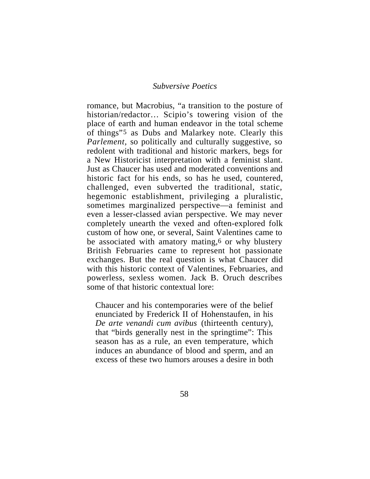romance, but Macrobius, "a transition to the posture of historian/redactor… Scipio's towering vision of the place of earth and human endeavor in the total scheme of things"5 as Dubs and Malarkey note. Clearly this *Parlement,* so politically and culturally suggestive, so redolent with traditional and historic markers, begs for a New Historicist interpretation with a feminist slant. Just as Chaucer has used and moderated conventions and historic fact for his ends, so has he used, countered, challenged, even subverted the traditional, static, hegemonic establishment, privileging a pluralistic, sometimes marginalized perspective—a feminist and even a lesser-classed avian perspective. We may never completely unearth the vexed and often-explored folk custom of how one, or several, Saint Valentines came to be associated with amatory mating,<sup>6</sup> or why blustery British Februaries came to represent hot passionate exchanges. But the real question is what Chaucer did with this historic context of Valentines, Februaries, and powerless, sexless women. Jack B. Oruch describes some of that historic contextual lore:

Chaucer and his contemporaries were of the belief enunciated by Frederick II of Hohenstaufen, in his *De arte venandi cum avibus* (thirteenth century), that "birds generally nest in the springtime": This season has as a rule, an even temperature, which induces an abundance of blood and sperm, and an excess of these two humors arouses a desire in both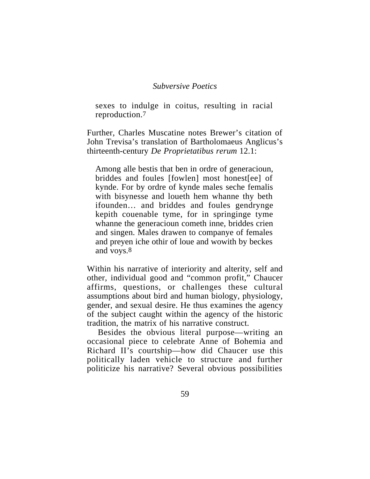sexes to indulge in coitus, resulting in racial reproduction.7

Further, Charles Muscatine notes Brewer's citation of John Trevisa's translation of Bartholomaeus Anglicus's thirteenth-century *De Proprietatibus rerum* 12.1:

Among alle bestis that ben in ordre of generacioun, briddes and foules [fowlen] most honest[ee] of kynde. For by ordre of kynde males seche femalis with bisynesse and loueth hem whanne thy beth ifounden… and briddes and foules gendrynge kepith couenable tyme, for in springinge tyme whanne the generacioun cometh inne, briddes crien and singen. Males drawen to companye of females and preyen iche othir of loue and wowith by beckes and voys.8

Within his narrative of interiority and alterity, self and other, individual good and "common profit," Chaucer affirms, questions, or challenges these cultural assumptions about bird and human biology, physiology, gender, and sexual desire. He thus examines the agency of the subject caught within the agency of the historic tradition, the matrix of his narrative construct.

Besides the obvious literal purpose—writing an occasional piece to celebrate Anne of Bohemia and Richard II's courtship—how did Chaucer use this politically laden vehicle to structure and further politicize his narrative? Several obvious possibilities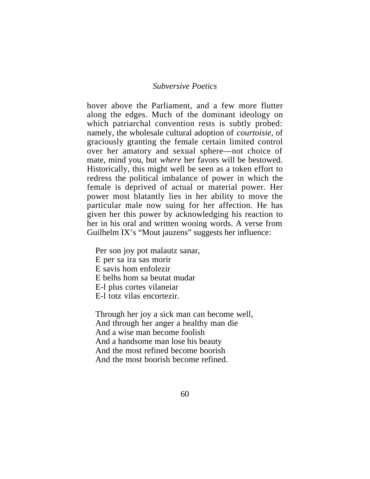hover above the Parliament, and a few more flutter along the edges. Much of the dominant ideology on which patriarchal convention rests is subtly probed: namely, the wholesale cultural adoption of *courtoisie,* of graciously granting the female certain limited control over her amatory and sexual sphere—not choice of mate, mind you, but *where* her favors will be bestowed. Historically, this might well be seen as a token effort to redress the political imbalance of power in which the female is deprived of actual or material power. Her power most blatantly lies in her ability to move the particular male now suing for her affection. He has given her this power by acknowledging his reaction to her in his oral and written wooing words. A verse from Guilhelm IX's "Mout jauzens" suggests her influence:

Per son joy pot malautz sanar, E per sa ira sas morir E savis hom enfolezir E belhs hom sa beutat mudar E-l plus cortes vilaneiar E-l totz vilas encortezir.

Through her joy a sick man can become well, And through her anger a healthy man die And a wise man become foolish And a handsome man lose his beauty And the most refined become boorish And the most boorish become refined.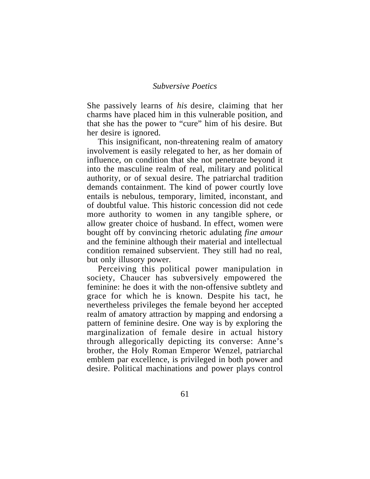She passively learns of *his* desire, claiming that her charms have placed him in this vulnerable position, and that she has the power to "cure" him of his desire. But her desire is ignored.

This insignificant, non-threatening realm of amatory involvement is easily relegated to her, as her domain of influence, on condition that she not penetrate beyond it into the masculine realm of real, military and political authority, or of sexual desire. The patriarchal tradition demands containment. The kind of power courtly love entails is nebulous, temporary, limited, inconstant, and of doubtful value. This historic concession did not cede more authority to women in any tangible sphere, or allow greater choice of husband. In effect, women were bought off by convincing rhetoric adulating *fine amour* and the feminine although their material and intellectual condition remained subservient. They still had no real, but only illusory power.

Perceiving this political power manipulation in society, Chaucer has subversively empowered the feminine: he does it with the non-offensive subtlety and grace for which he is known. Despite his tact, he nevertheless privileges the female beyond her accepted realm of amatory attraction by mapping and endorsing a pattern of feminine desire. One way is by exploring the marginalization of female desire in actual history through allegorically depicting its converse: Anne's brother, the Holy Roman Emperor Wenzel, patriarchal emblem par excellence, is privileged in both power and desire. Political machinations and power plays control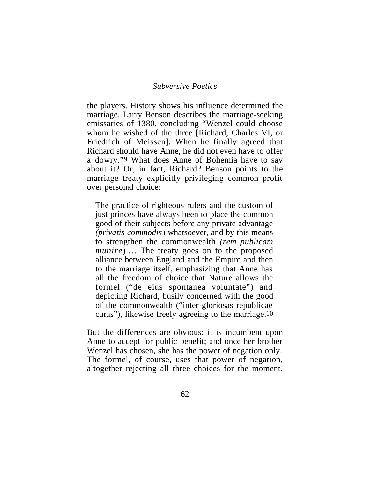the players. History shows his influence determined the marriage. Larry Benson describes the marriage-seeking emissaries of 1380, concluding "Wenzel could choose whom he wished of the three [Richard, Charles VI, or Friedrich of Meissen]. When he finally agreed that Richard should have Anne, he did not even have to offer a dowry."9 What does Anne of Bohemia have to say about it? Or, in fact, Richard? Benson points to the marriage treaty explicitly privileging common profit over personal choice:

The practice of righteous rulers and the custom of just princes have always been to place the common good of their subjects before any private advantage *(privatis commodis*) whatsoever, and by this means to strengthen the commonwealth *(rem publicam munire*)…. The treaty goes on to the proposed alliance between England and the Empire and then to the marriage itself, emphasizing that Anne has all the freedom of choice that Nature allows the formel ("de eius spontanea voluntate") and depicting Richard, busily concerned with the good of the commonwealth ("inter gloriosas republicae curas"), likewise freely agreeing to the marriage.10

But the differences are obvious: it is incumbent upon Anne to accept for public benefit; and once her brother Wenzel has chosen, she has the power of negation only. The formel, of course, uses that power of negation, altogether rejecting all three choices for the moment.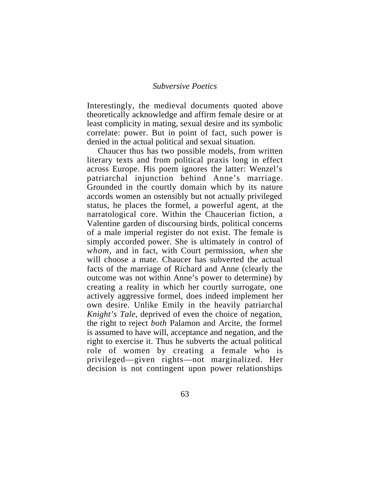Interestingly, the medieval documents quoted above theoretically acknowledge and affirm female desire or at least complicity in mating, sexual desire and its symbolic correlate: power. But in point of fact, such power is denied in the actual political and sexual situation.

Chaucer thus has two possible models, from written literary texts and from political praxis long in effect across Europe. His poem ignores the latter: Wenzel's patriarchal injunction behind Anne's marriage. Grounded in the courtly domain which by its nature accords women an ostensibly but not actually privileged status, he places the formel, a powerful agent, at the narratological core. Within the Chaucerian fiction, a Valentine garden of discoursing birds, political concerns of a male imperial register do not exist. The female is simply accorded power. She is ultimately in control of *whom,* and in fact, with Court permission, *when* she will choose a mate. Chaucer has subverted the actual facts of the marriage of Richard and Anne (clearly the outcome was not within Anne's power to determine) by creating a reality in which her courtly surrogate, one actively aggressive formel, does indeed implement her own desire. Unlike Emily in the heavily patriarchal *Knight's Tale*, deprived of even the choice of negation, the right to reject *both* Palamon and Arcite, the formel is assumed to have will, acceptance and negation, and the right to exercise it. Thus he subverts the actual political role of women by creating a female who is privileged—given rights—not marginalized. Her decision is not contingent upon power relationships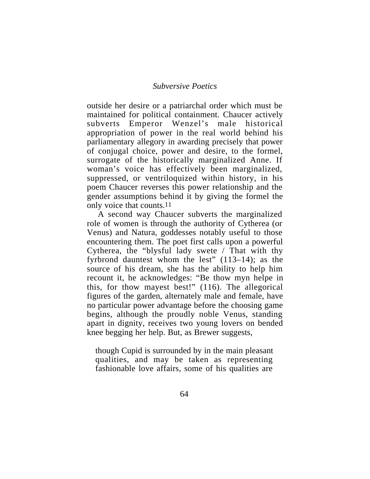outside her desire or a patriarchal order which must be maintained for political containment. Chaucer actively subverts Emperor Wenzel's male historical appropriation of power in the real world behind his parliamentary allegory in awarding precisely that power of conjugal choice, power and desire, to the formel, surrogate of the historically marginalized Anne. If woman's voice has effectively been marginalized, suppressed, or ventriloquized within history, in his poem Chaucer reverses this power relationship and the gender assumptions behind it by giving the formel the only voice that counts.11

A second way Chaucer subverts the marginalized role of women is through the authority of Cytherea (or Venus) and Natura, goddesses notably useful to those encountering them. The poet first calls upon a powerful Cytherea, the "blysful lady swete / That with thy fyrbrond dauntest whom the lest" (113–14); as the source of his dream, she has the ability to help him recount it, he acknowledges: "Be thow myn helpe in this, for thow mayest best!" (116). The allegorical figures of the garden, alternately male and female, have no particular power advantage before the choosing game begins, although the proudly noble Venus, standing apart in dignity, receives two young lovers on bended knee begging her help. But, as Brewer suggests,

though Cupid is surrounded by in the main pleasant qualities, and may be taken as representing fashionable love affairs, some of his qualities are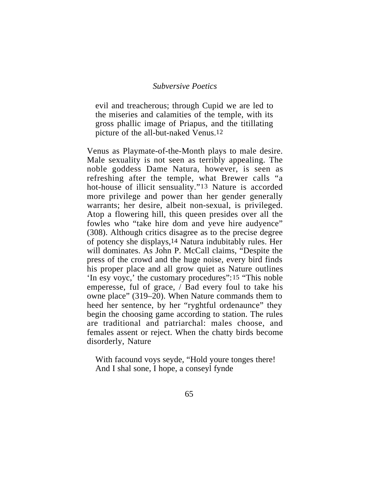evil and treacherous; through Cupid we are led to the miseries and calamities of the temple, with its gross phallic image of Priapus, and the titillating picture of the all-but-naked Venus.12

Venus as Playmate-of-the-Month plays to male desire. Male sexuality is not seen as terribly appealing. The noble goddess Dame Natura, however, is seen as refreshing after the temple, what Brewer calls "a hot-house of illicit sensuality."13 Nature is accorded more privilege and power than her gender generally warrants; her desire, albeit non-sexual, is privileged. Atop a flowering hill, this queen presides over all the fowles who "take hire dom and yeve hire audyence" (308). Although critics disagree as to the precise degree of potency she displays,14 Natura indubitably rules. Her will dominates. As John P. McCall claims, "Despite the press of the crowd and the huge noise, every bird finds his proper place and all grow quiet as Nature outlines 'In esy voyc,' the customary procedures":15 "This noble emperesse, ful of grace, / Bad every foul to take his owne place" (319–20). When Nature commands them to heed her sentence, by her "ryghtful ordenaunce" they begin the choosing game according to station. The rules are traditional and patriarchal: males choose, and females assent or reject. When the chatty birds become disorderly, Nature

With facound voys seyde, "Hold youre tonges there! And I shal sone, I hope, a conseyl fynde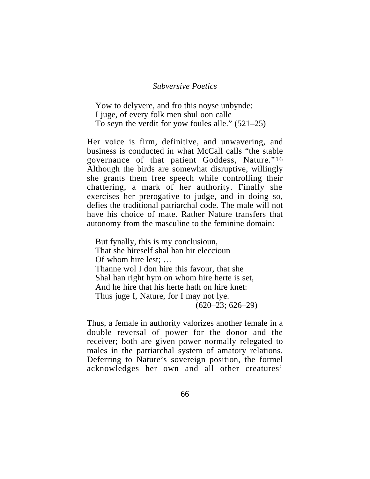Yow to delyvere, and fro this noyse unbynde: I juge, of every folk men shul oon calle To seyn the verdit for yow foules alle." (521–25)

Her voice is firm, definitive, and unwavering, and business is conducted in what McCall calls "the stable governance of that patient Goddess, Nature."16 Although the birds are somewhat disruptive, willingly she grants them free speech while controlling their chattering, a mark of her authority. Finally she exercises her prerogative to judge, and in doing so, defies the traditional patriarchal code. The male will not have his choice of mate. Rather Nature transfers that autonomy from the masculine to the feminine domain:

But fynally, this is my conclusioun, That she hireself shal han hir eleccioun Of whom hire lest; … Thanne wol I don hire this favour, that she Shal han right hym on whom hire herte is set, And he hire that his herte hath on hire knet: Thus juge I, Nature, for I may not lye. (620–23; 626–29)

Thus, a female in authority valorizes another female in a double reversal of power for the donor and the receiver; both are given power normally relegated to males in the patriarchal system of amatory relations. Deferring to Nature's sovereign position, the formel acknowledges her own and all other creatures'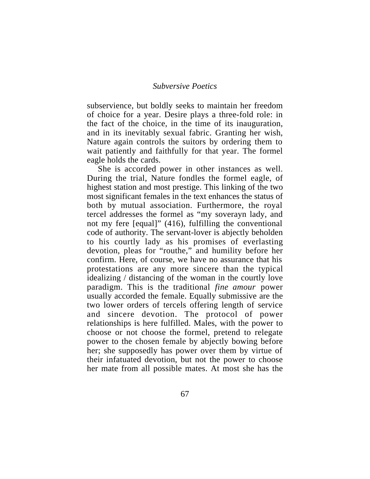subservience, but boldly seeks to maintain her freedom of choice for a year. Desire plays a three-fold role: in the fact of the choice, in the time of its inauguration, and in its inevitably sexual fabric. Granting her wish, Nature again controls the suitors by ordering them to wait patiently and faithfully for that year. The formel eagle holds the cards.

She is accorded power in other instances as well. During the trial, Nature fondles the formel eagle, of highest station and most prestige. This linking of the two most significant females in the text enhances the status of both by mutual association. Furthermore, the royal tercel addresses the formel as "my soverayn lady, and not my fere [equal]" (416), fulfilling the conventional code of authority. The servant-lover is abjectly beholden to his courtly lady as his promises of everlasting devotion, pleas for "routhe," and humility before her confirm. Here, of course, we have no assurance that his protestations are any more sincere than the typical idealizing / distancing of the woman in the courtly love paradigm. This is the traditional *fine amour* power usually accorded the female. Equally submissive are the two lower orders of tercels offering length of service and sincere devotion. The protocol of power relationships is here fulfilled. Males, with the power to choose or not choose the formel, pretend to relegate power to the chosen female by abjectly bowing before her; she supposedly has power over them by virtue of their infatuated devotion, but not the power to choose her mate from all possible mates. At most she has the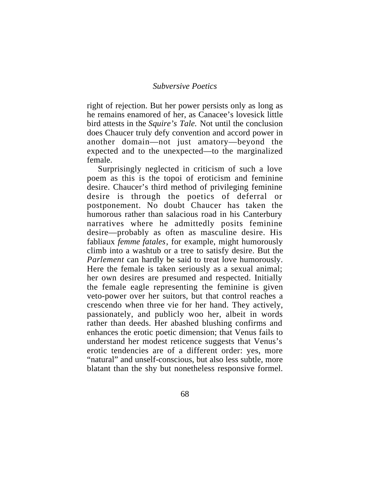right of rejection. But her power persists only as long as he remains enamored of her, as Canacee's lovesick little bird attests in the *Squire's Tale.* Not until the conclusion does Chaucer truly defy convention and accord power in another domain—not just amatory—beyond the expected and to the unexpected—to the marginalized female.

Surprisingly neglected in criticism of such a love poem as this is the topoi of eroticism and feminine desire. Chaucer's third method of privileging feminine desire is through the poetics of deferral or postponement. No doubt Chaucer has taken the humorous rather than salacious road in his Canterbury narratives where he admittedly posits feminine desire—probably as often as masculine desire. His fabliaux *femme fatales*, for example, might humorously climb into a washtub or a tree to satisfy desire. But the *Parlement* can hardly be said to treat love humorously. Here the female is taken seriously as a sexual animal; her own desires are presumed and respected. Initially the female eagle representing the feminine is given veto-power over her suitors, but that control reaches a crescendo when three vie for her hand. They actively, passionately, and publicly woo her, albeit in words rather than deeds. Her abashed blushing confirms and enhances the erotic poetic dimension; that Venus fails to understand her modest reticence suggests that Venus's erotic tendencies are of a different order: yes, more "natural" and unself-conscious, but also less subtle, more blatant than the shy but nonetheless responsive formel.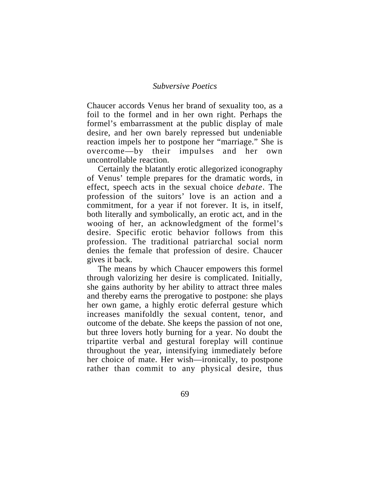Chaucer accords Venus her brand of sexuality too, as a foil to the formel and in her own right. Perhaps the formel's embarrassment at the public display of male desire, and her own barely repressed but undeniable reaction impels her to postpone her "marriage." She is overcome—by their impulses and her own uncontrollable reaction.

Certainly the blatantly erotic allegorized iconography of Venus' temple prepares for the dramatic words, in effect, speech acts in the sexual choice *debate*. The profession of the suitors' love is an action and a commitment, for a year if not forever. It is, in itself, both literally and symbolically, an erotic act, and in the wooing of her, an acknowledgment of the formel's desire. Specific erotic behavior follows from this profession. The traditional patriarchal social norm denies the female that profession of desire. Chaucer gives it back.

The means by which Chaucer empowers this formel through valorizing her desire is complicated. Initially, she gains authority by her ability to attract three males and thereby earns the prerogative to postpone: she plays her own game, a highly erotic deferral gesture which increases manifoldly the sexual content, tenor, and outcome of the debate. She keeps the passion of not one, but three lovers hotly burning for a year. No doubt the tripartite verbal and gestural foreplay will continue throughout the year, intensifying immediately before her choice of mate. Her wish—ironically, to postpone rather than commit to any physical desire, thus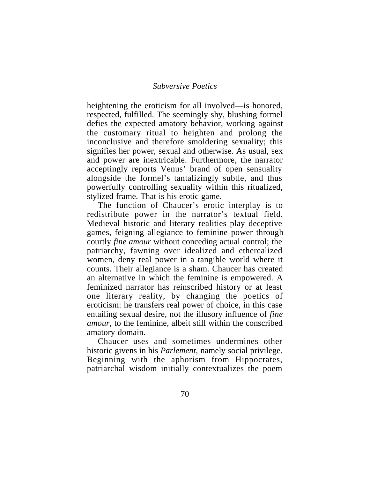heightening the eroticism for all involved—is honored, respected, fulfilled. The seemingly shy, blushing formel defies the expected amatory behavior, working against the customary ritual to heighten and prolong the inconclusive and therefore smoldering sexuality; this signifies her power, sexual and otherwise. As usual, sex and power are inextricable. Furthermore, the narrator acceptingly reports Venus' brand of open sensuality alongside the formel's tantalizingly subtle, and thus powerfully controlling sexuality within this ritualized, stylized frame. That is his erotic game.

The function of Chaucer's erotic interplay is to redistribute power in the narrator's textual field. Medieval historic and literary realities play deceptive games, feigning allegiance to feminine power through courtly *fine amour* without conceding actual control; the patriarchy, fawning over idealized and etherealized women, deny real power in a tangible world where it counts. Their allegiance is a sham. Chaucer has created an alternative in which the feminine is empowered. A feminized narrator has reinscribed history or at least one literary reality, by changing the poetics of eroticism: he transfers real power of choice, in this case entailing sexual desire, not the illusory influence of *fine amour*, to the feminine, albeit still within the conscribed amatory domain.

Chaucer uses and sometimes undermines other historic givens in his *Parlement,* namely social privilege. Beginning with the aphorism from Hippocrates, patriarchal wisdom initially contextualizes the poem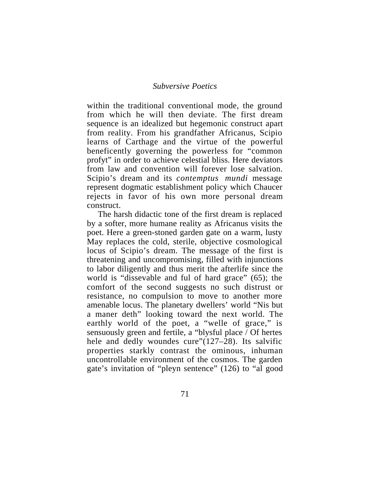within the traditional conventional mode, the ground from which he will then deviate. The first dream sequence is an idealized but hegemonic construct apart from reality. From his grandfather Africanus, Scipio learns of Carthage and the virtue of the powerful beneficently governing the powerless for "common profyt" in order to achieve celestial bliss. Here deviators from law and convention will forever lose salvation. Scipio's dream and its *contemptus mundi* message represent dogmatic establishment policy which Chaucer rejects in favor of his own more personal dream construct.

The harsh didactic tone of the first dream is replaced by a softer, more humane reality as Africanus visits the poet. Here a green-stoned garden gate on a warm, lusty May replaces the cold, sterile, objective cosmological locus of Scipio's dream. The message of the first is threatening and uncompromising, filled with injunctions to labor diligently and thus merit the afterlife since the world is "dissevable and ful of hard grace" (65); the comfort of the second suggests no such distrust or resistance, no compulsion to move to another more amenable locus. The planetary dwellers' world "Nis but a maner deth" looking toward the next world. The earthly world of the poet, a "welle of grace," is sensuously green and fertile, a "blysful place / Of hertes hele and dedly woundes cure"(127–28). Its salvific properties starkly contrast the ominous, inhuman uncontrollable environment of the cosmos. The garden gate's invitation of "pleyn sentence" (126) to "al good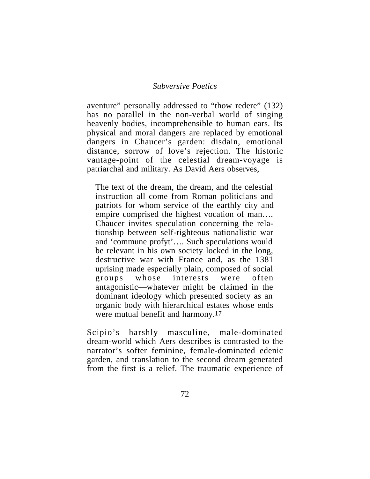aventure" personally addressed to "thow redere" (132) has no parallel in the non-verbal world of singing heavenly bodies, incomprehensible to human ears. Its physical and moral dangers are replaced by emotional dangers in Chaucer's garden: disdain, emotional distance, sorrow of love's rejection. The historic vantage-point of the celestial dream-voyage is patriarchal and military. As David Aers observes,

The text of the dream, the dream, and the celestial instruction all come from Roman politicians and patriots for whom service of the earthly city and empire comprised the highest vocation of man…. Chaucer invites speculation concerning the relationship between self-righteous nationalistic war and 'commune profyt'…. Such speculations would be relevant in his own society locked in the long, destructive war with France and, as the 1381 uprising made especially plain, composed of social groups whose interests were often antagonistic—whatever might be claimed in the dominant ideology which presented society as an organic body with hierarchical estates whose ends were mutual benefit and harmony.17

Scipio's harshly masculine, male-dominated dream-world which Aers describes is contrasted to the narrator's softer feminine, female-dominated edenic garden, and translation to the second dream generated from the first is a relief. The traumatic experience of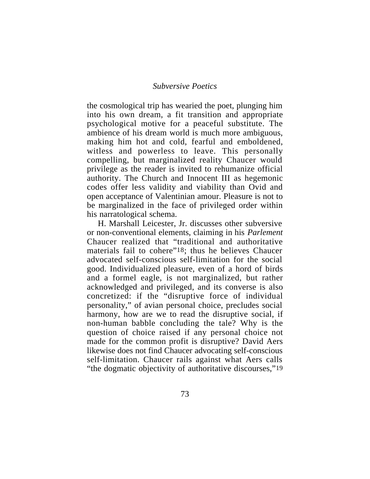the cosmological trip has wearied the poet, plunging him into his own dream, a fit transition and appropriate psychological motive for a peaceful substitute. The ambience of his dream world is much more ambiguous, making him hot and cold, fearful and emboldened, witless and powerless to leave. This personally compelling, but marginalized reality Chaucer would privilege as the reader is invited to rehumanize official authority. The Church and Innocent III as hegemonic codes offer less validity and viability than Ovid and open acceptance of Valentinian amour. Pleasure is not to be marginalized in the face of privileged order within his narratological schema.

H. Marshall Leicester, Jr. discusses other subversive or non-conventional elements, claiming in his *Parlement* Chaucer realized that "traditional and authoritative materials fail to cohere"18; thus he believes Chaucer advocated self-conscious self-limitation for the social good. Individualized pleasure, even of a hord of birds and a formel eagle, is not marginalized, but rather acknowledged and privileged, and its converse is also concretized: if the "disruptive force of individual personality," of avian personal choice, precludes social harmony, how are we to read the disruptive social, if non-human babble concluding the tale? Why is the question of choice raised if any personal choice not made for the common profit is disruptive? David Aers likewise does not find Chaucer advocating self-conscious self-limitation. Chaucer rails against what Aers calls "the dogmatic objectivity of authoritative discourses,"19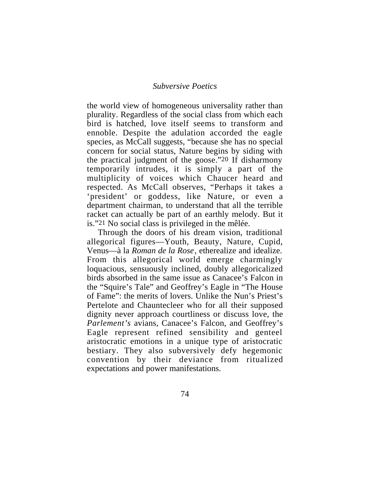the world view of homogeneous universality rather than plurality. Regardless of the social class from which each bird is hatched, love itself seems to transform and ennoble. Despite the adulation accorded the eagle species, as McCall suggests, "because she has no special concern for social status, Nature begins by siding with the practical judgment of the goose."20 If disharmony temporarily intrudes, it is simply a part of the multiplicity of voices which Chaucer heard and respected. As McCall observes, "Perhaps it takes a 'president' or goddess, like Nature, or even a department chairman, to understand that all the terrible racket can actually be part of an earthly melody. But it is."21 No social class is privileged in the mêlée.

Through the doors of his dream vision, traditional allegorical figures—Youth, Beauty, Nature, Cupid, Venus—à la *Roman de la Rose*, etherealize and idealize. From this allegorical world emerge charmingly loquacious, sensuously inclined, doubly allegoricalized birds absorbed in the same issue as Canacee's Falcon in the "Squire's Tale" and Geoffrey's Eagle in "The House of Fame": the merits of lovers. Unlike the Nun's Priest's Pertelote and Chauntecleer who for all their supposed dignity never approach courtliness or discuss love, the *Parlement's* avians, Canacee's Falcon, and Geoffrey's Eagle represent refined sensibility and genteel aristocratic emotions in a unique type of aristocratic bestiary. They also subversively defy hegemonic convention by their deviance from ritualized expectations and power manifestations.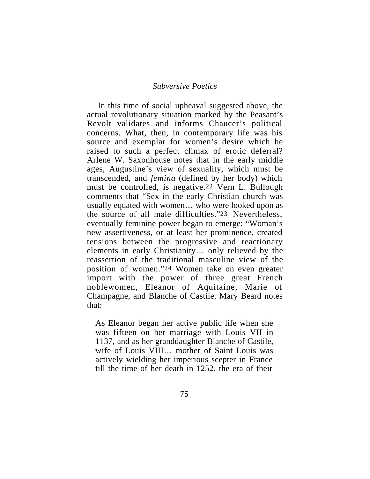In this time of social upheaval suggested above, the actual revolutionary situation marked by the Peasant's Revolt validates and informs Chaucer's political concerns. What, then, in contemporary life was his source and exemplar for women's desire which he raised to such a perfect climax of erotic deferral? Arlene W. Saxonhouse notes that in the early middle ages, Augustine's view of sexuality, which must be transcended, and *femina* (defined by her body) which must be controlled, is negative.22 Vern L. Bullough comments that "Sex in the early Christian church was usually equated with women… who were looked upon as the source of all male difficulties."23 Nevertheless, eventually feminine power began to emerge: "Woman's new assertiveness, or at least her prominence, created tensions between the progressive and reactionary elements in early Christianity… only relieved by the reassertion of the traditional masculine view of the position of women."24 Women take on even greater import with the power of three great French noblewomen, Eleanor of Aquitaine, Marie of Champagne, and Blanche of Castile. Mary Beard notes that:

As Eleanor began her active public life when she was fifteen on her marriage with Louis VII in 1137, and as her granddaughter Blanche of Castile, wife of Louis VIII… mother of Saint Louis was actively wielding her imperious scepter in France till the time of her death in 1252, the era of their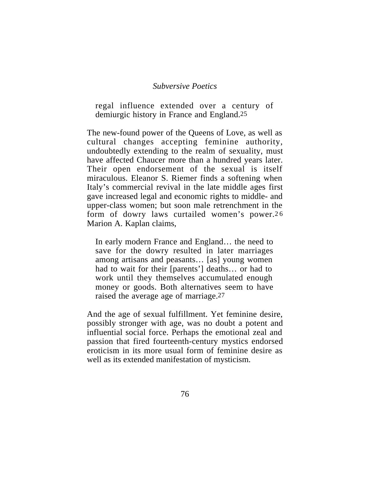regal influence extended over a century of demiurgic history in France and England.25

The new-found power of the Queens of Love, as well as cultural changes accepting feminine authority, undoubtedly extending to the realm of sexuality, must have affected Chaucer more than a hundred years later. Their open endorsement of the sexual is itself miraculous. Eleanor S. Riemer finds a softening when Italy's commercial revival in the late middle ages first gave increased legal and economic rights to middle- and upper-class women; but soon male retrenchment in the form of dowry laws curtailed women's power.26 Marion A. Kaplan claims,

In early modern France and England… the need to save for the dowry resulted in later marriages among artisans and peasants… [as] young women had to wait for their [parents'] deaths… or had to work until they themselves accumulated enough money or goods. Both alternatives seem to have raised the average age of marriage.27

And the age of sexual fulfillment. Yet feminine desire, possibly stronger with age, was no doubt a potent and influential social force. Perhaps the emotional zeal and passion that fired fourteenth-century mystics endorsed eroticism in its more usual form of feminine desire as well as its extended manifestation of mysticism.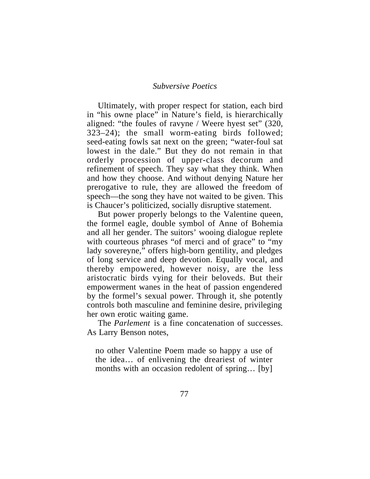Ultimately, with proper respect for station, each bird in "his owne place" in Nature's field, is hierarchically aligned: "the foules of ravyne / Weere hyest set" (320, 323–24); the small worm-eating birds followed; seed-eating fowls sat next on the green; "water-foul sat lowest in the dale." But they do not remain in that orderly procession of upper-class decorum and refinement of speech. They say what they think. When and how they choose. And without denying Nature her prerogative to rule, they are allowed the freedom of speech—the song they have not waited to be given. This is Chaucer's politicized, socially disruptive statement.

But power properly belongs to the Valentine queen, the formel eagle, double symbol of Anne of Bohemia and all her gender. The suitors' wooing dialogue replete with courteous phrases "of merci and of grace" to "my lady sovereyne," offers high-born gentility, and pledges of long service and deep devotion. Equally vocal, and thereby empowered, however noisy, are the less aristocratic birds vying for their beloveds. But their empowerment wanes in the heat of passion engendered by the formel's sexual power. Through it, she potently controls both masculine and feminine desire, privileging her own erotic waiting game.

The *Parlement* is a fine concatenation of successes. As Larry Benson notes,

no other Valentine Poem made so happy a use of the idea… of enlivening the dreariest of winter months with an occasion redolent of spring... [by]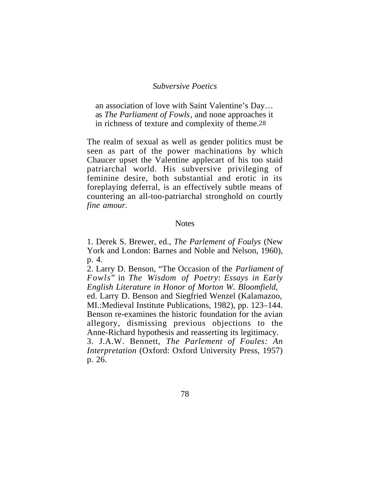an association of love with Saint Valentine's Day… as *The Parliament of Fowls*, and none approaches it in richness of texture and complexity of theme.28

The realm of sexual as well as gender politics must be seen as part of the power machinations by which Chaucer upset the Valentine applecart of his too staid patriarchal world. His subversive privileging of feminine desire, both substantial and erotic in its foreplaying deferral, is an effectively subtle means of countering an all-too-patriarchal stronghold on courtly *fine amour.*

#### **Notes**

1. Derek S. Brewer, ed., *The Parlement of Foulys* (New York and London: Barnes and Noble and Nelson, 1960), p. 4.

2. Larry D. Benson, "The Occasion of the *Parliament of Fowls*" in *The Wisdom of Poetry*: *Essays in Early English Literature in Honor of Morton W. Bloomfield*,

ed. Larry D. Benson and Siegfried Wenzel (Kalamazoo, MI.:Medieval Institute Publications, 1982), pp. 123–144. Benson re-examines the historic foundation for the avian allegory, dismissing previous objections to the Anne-Richard hypothesis and reasserting its legitimacy.

3. J.A.W. Bennett, *The Parlement of Foules: An Interpretation* (Oxford: Oxford University Press, 1957) p. 26.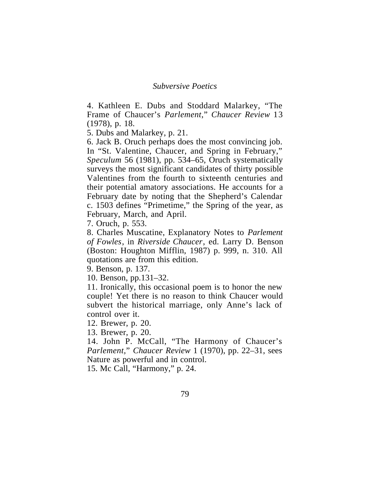4. Kathleen E. Dubs and Stoddard Malarkey, "The Frame of Chaucer's *Parlement*," *Chaucer Review* 13 (1978), p. 18.

5. Dubs and Malarkey, p. 21.

6. Jack B. Oruch perhaps does the most convincing job. In "St. Valentine, Chaucer, and Spring in February," *Speculum* 56 (1981), pp. 534–65, Oruch systematically surveys the most significant candidates of thirty possible Valentines from the fourth to sixteenth centuries and their potential amatory associations. He accounts for a February date by noting that the Shepherd's Calendar c. 1503 defines "Primetime," the Spring of the year, as February, March, and April.

7. Oruch, p. 553.

8. Charles Muscatine, Explanatory Notes to *Parlement of Fowles*, in *Riverside Chaucer*, ed. Larry D. Benson (Boston: Houghton Mifflin, 1987) p. 999, n. 310. All quotations are from this edition.

9. Benson, p. 137.

10. Benson, pp.131–32.

11. Ironically, this occasional poem is to honor the new couple! Yet there is no reason to think Chaucer would subvert the historical marriage, only Anne's lack of control over it.

12. Brewer, p. 20.

13. Brewer, p. 20.

14. John P. McCall, "The Harmony of Chaucer's *Parlement,*" *Chaucer Review* 1 (1970), pp. 22–31, sees Nature as powerful and in control.

15. Mc Call, "Harmony," p. 24.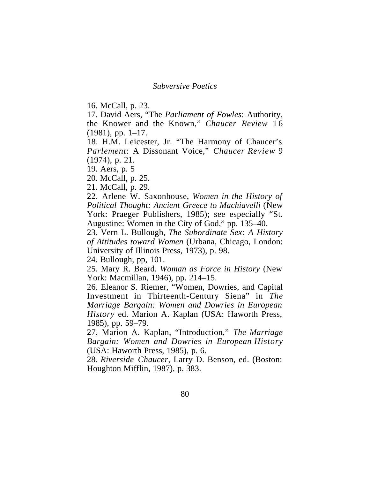16. McCall, p. 23.

17. David Aers, "The *Parliament of Fowles*: Authority, the Knower and the Known," *Chaucer Review* 1 6 (1981), pp. 1–17.

18. H.M. Leicester, Jr. "The Harmony of Chaucer's *Parlement*: A Dissonant Voice," *Chaucer Review* 9 (1974), p. 21.

19. Aers, p. 5

20. McCall, p. 25.

21. McCall, p. 29.

22. Arlene W. Saxonhouse, *Women in the History of Political Thought: Ancient Greece to Machiavelli* (New York: Praeger Publishers, 1985); see especially "St. Augustine: Women in the City of God," pp. 135–40.

23. Vern L. Bullough, *The Subordinate Sex: A History of Attitudes toward Women* (Urbana, Chicago, London: University of Illinois Press, 1973), p. 98.

24. Bullough, pp, 101.

25. Mary R. Beard. *Woman as Force in History* (New York: Macmillan, 1946), pp. 214–15.

26. Eleanor S. Riemer, "Women, Dowries, and Capital Investment in Thirteenth-Century Siena" in *The Marriage Bargain: Women and Dowries in European History* ed. Marion A. Kaplan (USA: Haworth Press, 1985), pp. 59–79.

27. Marion A. Kaplan, "Introduction," *The Marriage Bargain: Women and Dowries in European History* (USA: Haworth Press, 1985), p. 6.

28. *Riverside Chaucer*, Larry D. Benson, ed. (Boston: Houghton Mifflin, 1987), p. 383.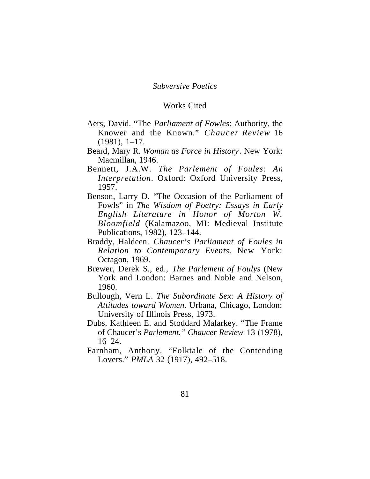## Works Cited

- Aers, David. "The *Parliament of Fowles*: Authority, the Knower and the Known." *Chaucer Review* 16 (1981), 1–17.
- Beard, Mary R. *Woman as Force in History*. New York: Macmillan, 1946.
- Bennett, J.A.W. *The Parlement of Foules: An Interpretation*. Oxford: Oxford University Press, 1957.
- Benson, Larry D. "The Occasion of the Parliament of Fowls" in *The Wisdom of Poetry: Essays in Early English Literature in Honor of Morton W. Bloomfield* (Kalamazoo, MI: Medieval Institute Publications, 1982), 123–144.
- Braddy, Haldeen. *Chaucer's Parliament of Foules in Relation to Contemporary Events.* New York: Octagon, 1969.
- Brewer, Derek S., ed., *The Parlement of Foulys* (New York and London: Barnes and Noble and Nelson, 1960.
- Bullough, Vern L. *The Subordinate Sex: A History of Attitudes toward Women*. Urbana, Chicago, London: University of Illinois Press, 1973.
- Dubs, Kathleen E. and Stoddard Malarkey. "The Frame of Chaucer's *Parlement." Chaucer Review* 13 (1978),  $16 - 24$ .
- Farnham, Anthony. "Folktale of the Contending Lovers." *PMLA* 32 (1917), 492–518.